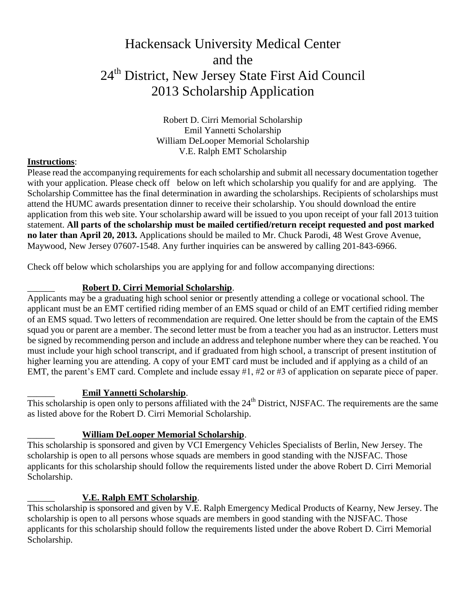# Hackensack University Medical Center and the 24<sup>th</sup> District, New Jersey State First Aid Council 2013 Scholarship Application

Robert D. Cirri Memorial Scholarship Emil Yannetti Scholarship William DeLooper Memorial Scholarship V.E. Ralph EMT Scholarship

#### **Instructions**:

Please read the accompanying requirements for each scholarship and submit all necessary documentation together with your application. Please check off below on left which scholarship you qualify for and are applying. The Scholarship Committee has the final determination in awarding the scholarships. Recipients of scholarships must attend the HUMC awards presentation dinner to receive their scholarship. You should download the entire application from this web site. Your scholarship award will be issued to you upon receipt of your fall 2013 tuition statement. **All parts of the scholarship must be mailed certified/return receipt requested and post marked no later than April 20, 2013.** Applications should be mailed to Mr. Chuck Parodi, 48 West Grove Avenue, Maywood, New Jersey 07607-1548. Any further inquiries can be answered by calling 201-843-6966.

Check off below which scholarships you are applying for and follow accompanying directions:

### \_\_\_\_\_\_ **Robert D. Cirri Memorial Scholarship**.

Applicants may be a graduating high school senior or presently attending a college or vocational school. The applicant must be an EMT certified riding member of an EMS squad or child of an EMT certified riding member of an EMS squad. Two letters of recommendation are required. One letter should be from the captain of the EMS squad you or parent are a member. The second letter must be from a teacher you had as an instructor. Letters must be signed by recommending person and include an address and telephone number where they can be reached. You must include your high school transcript, and if graduated from high school, a transcript of present institution of higher learning you are attending. A copy of your EMT card must be included and if applying as a child of an EMT, the parent's EMT card. Complete and include essay #1, #2 or #3 of application on separate piece of paper.

### \_\_\_\_\_\_ **Emil Yannetti Scholarship**.

This scholarship is open only to persons affiliated with the  $24<sup>th</sup>$  District, NJSFAC. The requirements are the same as listed above for the Robert D. Cirri Memorial Scholarship.

### \_\_\_\_\_\_ **William DeLooper Memorial Scholarship**.

This scholarship is sponsored and given by VCI Emergency Vehicles Specialists of Berlin, New Jersey. The scholarship is open to all persons whose squads are members in good standing with the NJSFAC. Those applicants for this scholarship should follow the requirements listed under the above Robert D. Cirri Memorial Scholarship.

## \_\_\_\_\_\_ **V.E. Ralph EMT Scholarship**.

This scholarship is sponsored and given by V.E. Ralph Emergency Medical Products of Kearny, New Jersey. The scholarship is open to all persons whose squads are members in good standing with the NJSFAC. Those applicants for this scholarship should follow the requirements listed under the above Robert D. Cirri Memorial Scholarship.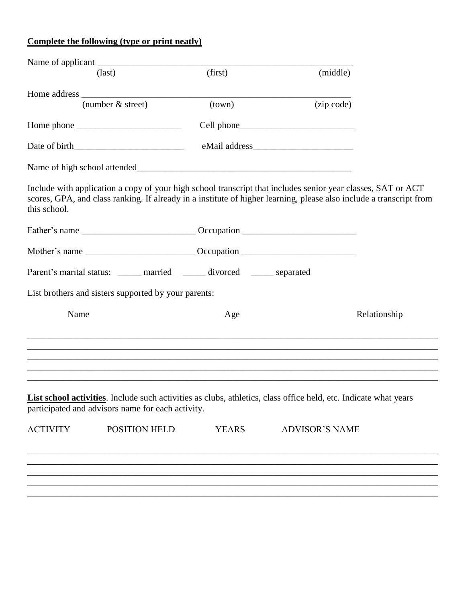# **Complete the following (type or print neatly)**

|                 | $\text{(last)}$                                                                                                                                                                                                                     | (first)      | (middle)              |              |
|-----------------|-------------------------------------------------------------------------------------------------------------------------------------------------------------------------------------------------------------------------------------|--------------|-----------------------|--------------|
|                 |                                                                                                                                                                                                                                     |              |                       |              |
|                 | (number $\&$ street)                                                                                                                                                                                                                | (town)       | (zip code)            |              |
|                 |                                                                                                                                                                                                                                     |              |                       |              |
|                 |                                                                                                                                                                                                                                     |              |                       |              |
|                 |                                                                                                                                                                                                                                     |              |                       |              |
| this school.    | Include with application a copy of your high school transcript that includes senior year classes, SAT or ACT<br>scores, GPA, and class ranking. If already in a institute of higher learning, please also include a transcript from |              |                       |              |
|                 |                                                                                                                                                                                                                                     |              |                       |              |
|                 |                                                                                                                                                                                                                                     |              |                       |              |
|                 | Parent's marital status: _____ married _____ divorced _____ separated                                                                                                                                                               |              |                       |              |
|                 | List brothers and sisters supported by your parents:                                                                                                                                                                                |              |                       |              |
| Name            |                                                                                                                                                                                                                                     | Age          |                       | Relationship |
|                 |                                                                                                                                                                                                                                     |              |                       |              |
|                 | List school activities. Include such activities as clubs, athletics, class office held, etc. Indicate what years<br>participated and advisors name for each activity.                                                               |              |                       |              |
| <b>ACTIVITY</b> | POSITION HELD                                                                                                                                                                                                                       | <b>YEARS</b> | <b>ADVISOR'S NAME</b> |              |
|                 |                                                                                                                                                                                                                                     |              |                       |              |
|                 |                                                                                                                                                                                                                                     |              |                       |              |

\_\_\_\_\_\_\_\_\_\_\_\_\_\_\_\_\_\_\_\_\_\_\_\_\_\_\_\_\_\_\_\_\_\_\_\_\_\_\_\_\_\_\_\_\_\_\_\_\_\_\_\_\_\_\_\_\_\_\_\_\_\_\_\_\_\_\_\_\_\_\_\_\_\_\_\_\_\_\_\_\_\_\_\_\_\_\_\_\_\_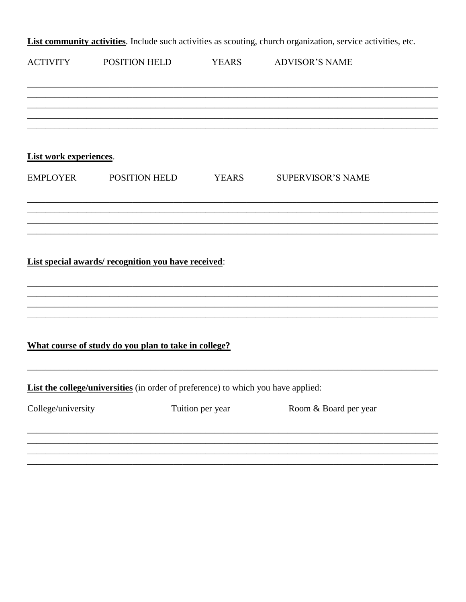List community activities. Include such activities as scouting, church organization, service activities, etc.

| <b>ACTIVITY</b>               | POSITION HELD                                                                     | <b>YEARS</b>     | <b>ADVISOR'S NAME</b>    |  |
|-------------------------------|-----------------------------------------------------------------------------------|------------------|--------------------------|--|
|                               |                                                                                   |                  |                          |  |
|                               |                                                                                   |                  |                          |  |
| <b>List work experiences.</b> |                                                                                   |                  |                          |  |
|                               | EMPLOYER POSITION HELD                                                            | <b>YEARS</b>     | <b>SUPERVISOR'S NAME</b> |  |
|                               |                                                                                   |                  |                          |  |
|                               |                                                                                   |                  |                          |  |
|                               | List special awards/recognition you have received:                                |                  |                          |  |
|                               |                                                                                   |                  |                          |  |
|                               | What course of study do you plan to take in college?                              |                  |                          |  |
|                               | List the college/universities (in order of preference) to which you have applied: |                  |                          |  |
| College/university            |                                                                                   | Tuition per year | Room & Board per year    |  |
|                               |                                                                                   |                  |                          |  |
|                               |                                                                                   |                  |                          |  |
|                               |                                                                                   |                  |                          |  |